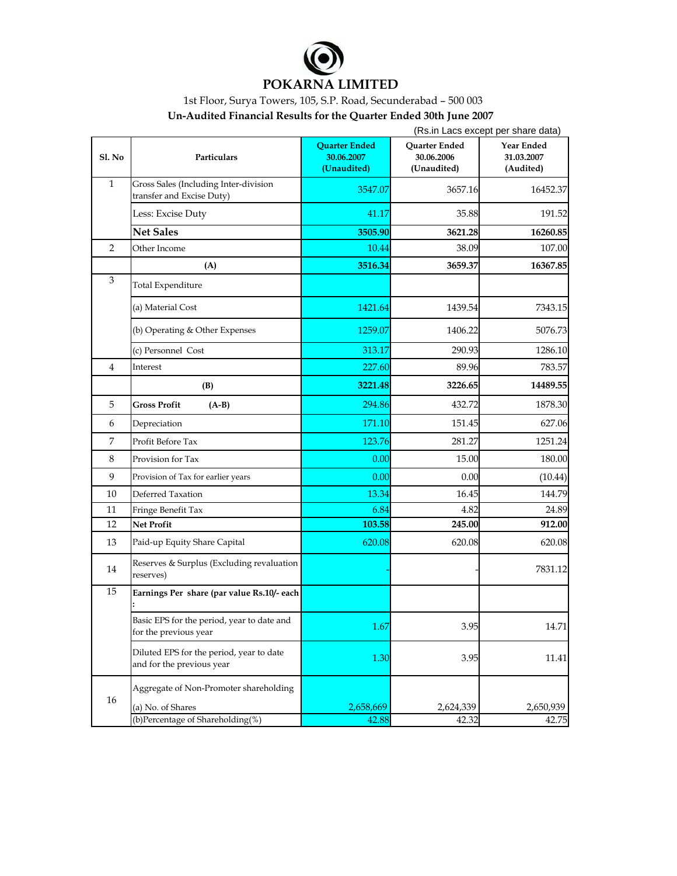

## **POKARNA LIMITED**

1st Floor, Surya Towers, 105, S.P. Road, Secunderabad – 500 003

**Un-Audited Financial Results for the Quarter Ended 30th June 2007**

|                |                                                                       | (Rs.in Lacs except per share data)                |                                            |                                       |
|----------------|-----------------------------------------------------------------------|---------------------------------------------------|--------------------------------------------|---------------------------------------|
| Sl. No         | Particulars                                                           | <b>Quarter Ended</b><br>30.06.2007<br>(Unaudited) | Quarter Ended<br>30.06.2006<br>(Unaudited) | Year Ended<br>31.03.2007<br>(Audited) |
| $\mathbf{1}$   | Gross Sales (Including Inter-division<br>transfer and Excise Duty)    | 3547.07                                           | 3657.16                                    | 16452.37                              |
|                | Less: Excise Duty                                                     | 41.17                                             | 35.88                                      | 191.52                                |
|                | <b>Net Sales</b>                                                      | 3505.90                                           | 3621.28                                    | 16260.85                              |
| $\overline{2}$ | Other Income                                                          | 10.44                                             | 38.09                                      | 107.00                                |
|                | (A)                                                                   | 3516.34                                           | 3659.37                                    | 16367.85                              |
| $\mathfrak{Z}$ | <b>Total Expenditure</b>                                              |                                                   |                                            |                                       |
|                | (a) Material Cost                                                     | 1421.64                                           | 1439.54                                    | 7343.15                               |
|                | (b) Operating & Other Expenses                                        | 1259.07                                           | 1406.22                                    | 5076.73                               |
|                | (c) Personnel Cost                                                    | 313.17                                            | 290.93                                     | 1286.10                               |
| 4              | Interest                                                              | 227.60                                            | 89.96                                      | 783.57                                |
|                | (B)                                                                   | 3221.48                                           | 3226.65                                    | 14489.55                              |
| 5              | <b>Gross Profit</b><br>$(A-B)$                                        | 294.86                                            | 432.72                                     | 1878.30                               |
| 6              | Depreciation                                                          | 171.10                                            | 151.45                                     | 627.06                                |
| $\overline{7}$ | Profit Before Tax                                                     | 123.76                                            | 281.27                                     | 1251.24                               |
| 8              | Provision for Tax                                                     | 0.00                                              | 15.00                                      | 180.00                                |
| 9              | Provision of Tax for earlier years                                    | 0.00                                              | 0.00                                       | (10.44)                               |
| 10             | Deferred Taxation                                                     | 13.34                                             | 16.45                                      | 144.79                                |
| 11             | Fringe Benefit Tax                                                    | 6.84                                              | 4.82                                       | 24.89                                 |
| 12             | <b>Net Profit</b>                                                     | 103.58                                            | 245.00                                     | 912.00                                |
| 13             | Paid-up Equity Share Capital                                          | 620.08                                            | 620.08                                     | 620.08                                |
| 14             | Reserves & Surplus (Excluding revaluation<br>reserves)                |                                                   |                                            | 7831.12                               |
| 15             | Earnings Per share (par value Rs.10/- each                            |                                                   |                                            |                                       |
|                | Basic EPS for the period, year to date and<br>for the previous year   | 1.67                                              | 3.95                                       | 14.71                                 |
|                | Diluted EPS for the period, year to date<br>and for the previous year | 1.30                                              | 3.95                                       | 11.41                                 |
| 16             | Aggregate of Non-Promoter shareholding                                |                                                   |                                            |                                       |
|                | (a) No. of Shares<br>(b)Percentage of Shareholding(%)                 | 2,658,669<br>42.88                                | 2,624,339<br>42.32                         | 2,650,939<br>42.75                    |
|                |                                                                       |                                                   |                                            |                                       |